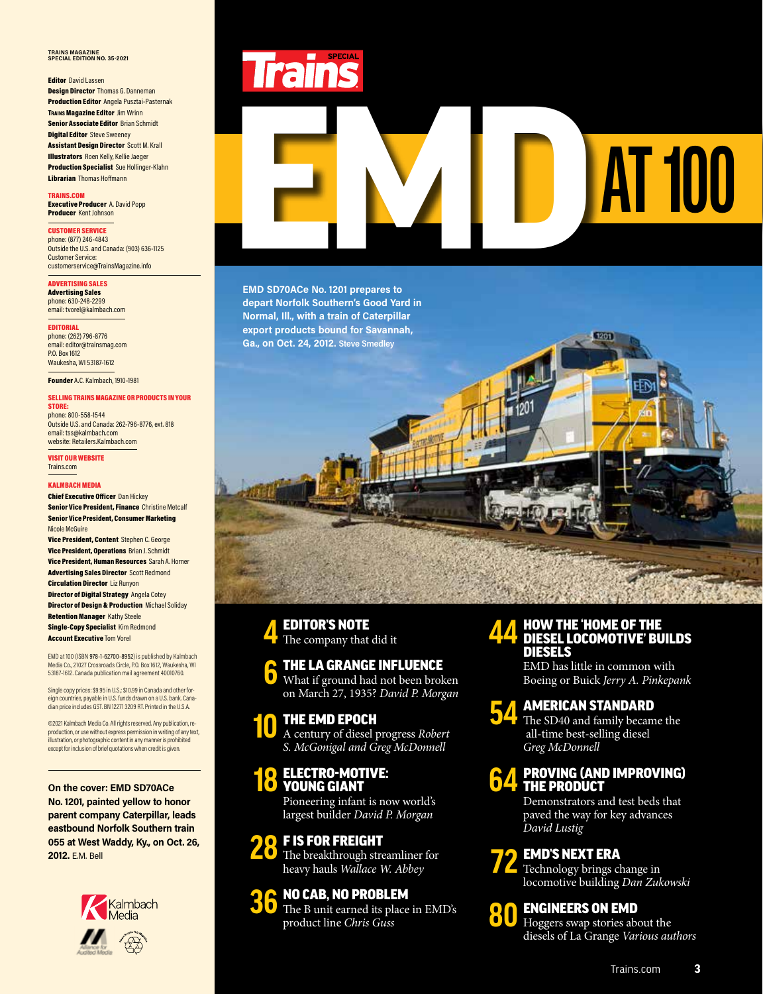### **TRAINS MAGAZINE SPECIAL EDITION NO. 35-2021**

### **Editor** David Lassen

**Design Director Thomas G. Danneman** Production Editor Angela Pusztai-Pasternak **TRAINS Magazine Editor Jim Wrinn** Senior Associate Editor Brian Schmidt **Digital Editor** Steve Sweeney Assistant Design Director Scott M. Krall Illustrators Roen Kelly, Kellie Jaeger Production Specialist Sue Hollinger-Klahn Librarian Thomas Hoffmann

TRAINS.COM Executive Producer A. David Popp Producer Kent Johnson

### CUSTOMER SERVICE

phone: (877) 246-4843 Outside the U.S. and Canada: (903) 636-1125 Customer Service: customerservice@TrainsMagazine.info

ADVERTISING SALES Advertising Sales phone: 630-248-2299

email: tvorel@kalmbach.com

EDITORIAL phone: (262) 796-8776 email: editor@trainsmag.com P.O. Box 1612 Waukesha, WI 53187-1612

Founder A.C. Kalmbach, 1910-1981

### SELLING TRAINS MAGAZINE OR PRODUCTS IN YOUR STORE:

phone: 800-558-1544 Outside U.S. and Canada: 262-796-8776, ext. 818 email: tss@kalmbach.com website: Retailers.Kalmbach.com

VISIT OUR WEBSITE Trains.com

### KALMBACH MEDIA

Chief Executive Officer Dan Hickey **Senior Vice President, Finance Christine Metcalf** Senior Vice President, Consumer Marketing Nicole McGuire Vice President, Content Stephen C. George Vice President, Operations Brian J. Schmidt Vice President, Human Resources Sarah A. Horner Advertising Sales Director Scott Redmond Circulation Director Liz Runyon Director of Digital Strategy Angela Cotey Director of Design & Production Michael Soliday **Retention Manager Kathy Steele** Single-Copy Specialist Kim Redmond Account Executive Tom Vorel

EMD at 100 (ISBN 978-1-62700-8952) is published by Kalmbach Media Co., 21027 Crossroads Circle, P.O. Box 1612, Waukesha, WI 53187-1612. Canada publication mail agreement 40010760.

Single copy prices: \$9.95 in U.S.; \$10.99 in Canada and other foreign countries, payable in U.S. funds drawn on a U.S. bank. Cana-dian price includes GST. BN 12271 3209 RT. Printed in the U.S.A.

©2021 Kalmbach Media Co. All rights reserved. Any publication, reproduction, or use without express permission in writing of any text, illustration, or photographic content in any manner is prohibited except for inclusion of brief quotations when credit is given.

**On the cover: EMD SD70ACe No. 1201, painted yellow to honor parent company Caterpillar, leads eastbound Norfolk Southern train 055 at West Waddy, Ky., on Oct. 26, 2012.** E.M. Bell





# EMD SPZQ4CC No.1201 prepares to

**EMD SD70ACe No. 1201 prepares to depart Norfolk Southern's Good Yard in Normal, Ill., with a train of Caterpillar export products bound for Savannah, Ga., on Oct. 24, 2012. Steve Smedley**

### EDITOR'S NOTE The company that did it

### **6** THE LA GRANGE INFLUENCE

What if ground had not been broken on March 27, 1935? *David P. Morgan*

### **10** THE EMD EPOCH

**4**

A century of diesel progress *Robert S. McGonigal and Greg McDonnell*

### **18** ELECTRO-MOTIVE:<br>**18** YOUNG GIANT YOUNG GIANT

Pioneering infant is now world's largest builder *David P. Morgan*

### **28** F IS FOR FREIGHT

The breakthrough streamliner for heavy hauls *Wallace W. Abbey*

### **36** NO CAB, NO PROBLEM

The B unit earned its place in EMD's product line *Chris Guss*

### **44** HOW THE 'HOME OF THE DIESEL LOCOMOTIVE' BUILDS DIESELS

1201

EMD has little in common with Boeing or Buick *Jerry A. Pinkepank*

### **54** AMERICAN STANDARD

The SD40 and family became the all-time best-selling diesel *Greg McDonnell*

### **64** PROVING (AND IMPROVING) THE PRODUCT

Demonstrators and test beds that paved the way for key advances *David Lustig*

### **72** EMD'S NEXT ERA

Technology brings change in locomotive building *Dan Zukowski*

### ENGINEERS ON EMD



Hoggers swap stories about the diesels of La Grange *Various authors*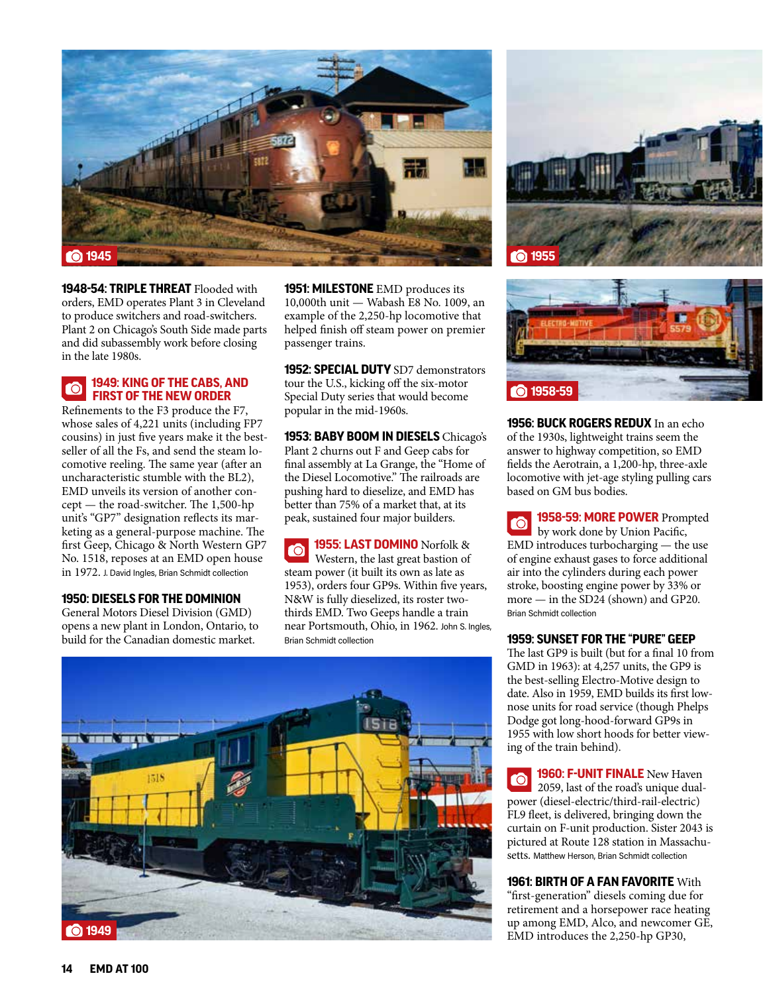

**1948-54: TRIPLE THREAT** Flooded with orders, EMD operates Plant 3 in Cleveland to produce switchers and road-switchers. Plant 2 on Chicago's South Side made parts and did subassembly work before closing in the late 1980s.

### **1949: KING OF THE CABS, AND FIRST OF THE NEW ORDER**

Refinements to the F3 produce the F7, whose sales of 4,221 units (including FP7 cousins) in just five years make it the bestseller of all the Fs, and send the steam locomotive reeling. The same year (after an uncharacteristic stumble with the BL2), EMD unveils its version of another concept — the road-switcher. The 1,500-hp unit's "GP7" designation reflects its marketing as a general-purpose machine. The first Geep, Chicago & North Western GP7 No. 1518, reposes at an EMD open house in 1972. J. David Ingles, Brian Schmidt collection

### **1950: DIESELS FOR THE DOMINION**

General Motors Diesel Division (GMD) opens a new plant in London, Ontario, to build for the Canadian domestic market.

**1951: MILESTONE** EMD produces its 10,000th unit — Wabash E8 No. 1009, an example of the 2,250-hp locomotive that helped finish off steam power on premier passenger trains.

**1952: SPECIAL DUTY** SD7 demonstrators tour the U.S., kicking off the six-motor Special Duty series that would become popular in the mid-1960s.

**1953: BABY BOOM IN DIESELS** Chicago's Plant 2 churns out F and Geep cabs for final assembly at La Grange, the "Home of the Diesel Locomotive." The railroads are pushing hard to dieselize, and EMD has better than 75% of a market that, at its peak, sustained four major builders.

**1955: LAST DOMINO** Norfolk &  $\bullet$ Western, the last great bastion of steam power (it built its own as late as 1953), orders four GP9s. Within five years, N&W is fully dieselized, its roster twothirds EMD. Two Geeps handle a train near Portsmouth, Ohio, in 1962. John S. Ingles, Brian Schmidt collection







**1956: BUCK ROGERS REDUX** In an echo of the 1930s, lightweight trains seem the answer to highway competition, so EMD fields the Aerotrain, a 1,200-hp, three-axle locomotive with jet-age styling pulling cars based on GM bus bodies.

**1958-59: MORE POWER** Prompted  $\bullet$ by work done by Union Pacific, EMD introduces turbocharging — the use of engine exhaust gases to force additional air into the cylinders during each power stroke, boosting engine power by 33% or more — in the SD24 (shown) and GP20. Brian Schmidt collection

### **1959: SUNSET FOR THE "PURE" GEEP**

The last GP9 is built (but for a final 10 from GMD in 1963): at 4,257 units, the GP9 is the best-selling Electro-Motive design to date. Also in 1959, EMD builds its first lownose units for road service (though Phelps Dodge got long-hood-forward GP9s in 1955 with low short hoods for better viewing of the train behind).

**1960: F-UNIT FINALE** New Haven ro 2059, last of the road's unique dualpower (diesel-electric/third-rail-electric) FL9 fleet, is delivered, bringing down the curtain on F-unit production. Sister 2043 is pictured at Route 128 station in Massachusetts. Matthew Herson, Brian Schmidt collection

### **1961: BIRTH OF A FAN FAVORITE** With

"first-generation" diesels coming due for retirement and a horsepower race heating up among EMD, Alco, and newcomer GE, EMD introduces the 2,250-hp GP30,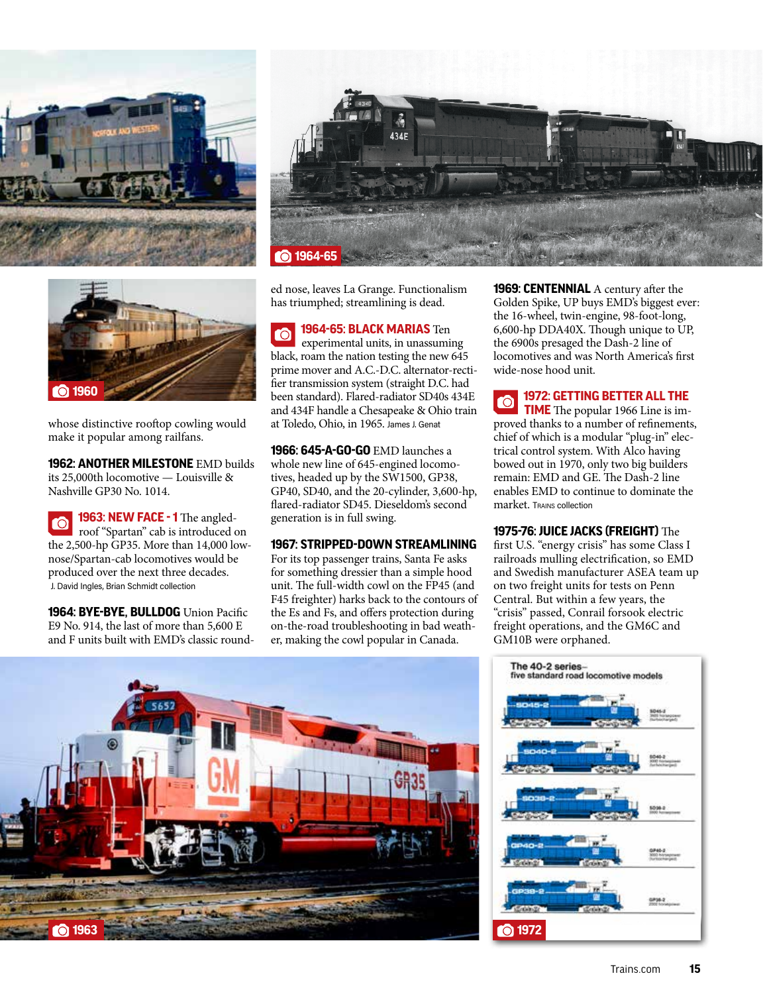



whose distinctive rooftop cowling would make it popular among railfans.

**1962: ANOTHER MILESTONE** EMD builds its 25,000th locomotive — Louisville & Nashville GP30 No. 1014.

**1963: NEW FACE - 1** The angled-**TÔ** roof "Spartan" cab is introduced on the 2,500-hp GP35. More than 14,000 lownose/Spartan-cab locomotives would be produced over the next three decades. J. David Ingles, Brian Schmidt collection

**1964: BYE-BYE, BULLDOG** Union Pacific E9 No. 914, the last of more than 5,600 E and F units built with EMD's classic round-



ed nose, leaves La Grange. Functionalism has triumphed; streamlining is dead.

**1964-65: BLACK MARIAS** Ten experimental units, in unassuming black, roam the nation testing the new 645 prime mover and A.C.-D.C. alternator-rectifier transmission system (straight D.C. had been standard). Flared-radiator SD40s 434E and 434F handle a Chesapeake & Ohio train at Toledo, Ohio, in 1965. James J. Genat

**1966: 645-A-GO-GO** EMD launches a whole new line of 645-engined locomotives, headed up by the SW1500, GP38, GP40, SD40, and the 20-cylinder, 3,600-hp, flared-radiator SD45. Dieseldom's second generation is in full swing.

### **1967: STRIPPED-DOWN STREAMLINING**

For its top passenger trains, Santa Fe asks for something dressier than a simple hood unit. The full-width cowl on the FP45 (and F45 freighter) harks back to the contours of the Es and Fs, and offers protection during on-the-road troubleshooting in bad weather, making the cowl popular in Canada.

**1969: CENTENNIAL** A century after the Golden Spike, UP buys EMD's biggest ever: the 16-wheel, twin-engine, 98-foot-long, 6,600-hp DDA40X. Though unique to UP, the 6900s presaged the Dash-2 line of locomotives and was North America's first wide-nose hood unit.

**1972: GETTING BETTER ALL THE 10 TIME** The popular 1966 Line is improved thanks to a number of refinements, chief of which is a modular "plug-in" electrical control system. With Alco having bowed out in 1970, only two big builders remain: EMD and GE. The Dash-2 line enables EMD to continue to dominate the market. Trains collection

### **1975-76: JUICE JACKS (FREIGHT)** The

first U.S. "energy crisis" has some Class I railroads mulling electrification, so EMD and Swedish manufacturer ASEA team up on two freight units for tests on Penn Central. But within a few years, the "crisis" passed, Conrail forsook electric freight operations, and the GM6C and GM10B were orphaned.



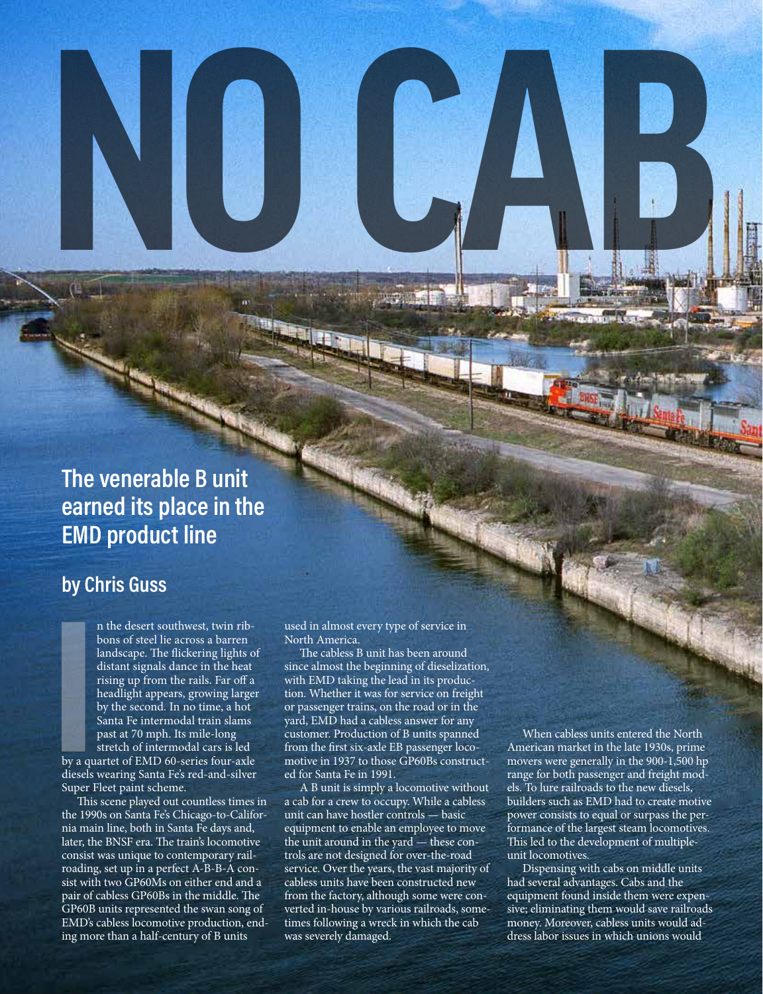### **The venerable B unit earned its place in the EMD product line**

### **by Chris Guss**

n the desert southwest, twin ribbons of steel lie across a barren landscape. The flickering lights of distant signals dance in the heat rising up from the rails. Far off a headlight appears, growing larger by the second. In no time, a hot Santa Fe intermodal train slams past at 70 mph. Its mile-long stretch of intermodal cars is led

by a quartet of EMD 60-series four-axle diesels wearing Santa Fe's red-and-silver Super Fleet paint scheme.

This scene played out countless times in the 1990s on Santa Fe's Chicago-to-California main line, both in Santa Fe days and, later, the BNSF era. The train's locomotive consist was unique to contemporary railroading, set up in a perfect A-B-B-A consist with two GP60Ms on either end and a pair of cabless GP60Bs in the middle. The GP60B units represented the swan song of EMD's cabless locomotive production, ending more than a half-century of B units

used in almost every type of service in North America.

**NO CAB**

The cabless B unit has been around since almost the beginning of dieselization, with EMD taking the lead in its production. Whether it was for service on freight or passenger trains, on the road or in the yard, EMD had a cabless answer for any customer. Production of B units spanned from the first six-axle EB passenger locomotive in 1937 to those GP60Bs constructed for Santa Fe in 1991.

A B unit is simply a locomotive without a cab for a crew to occupy. While a cabless unit can have hostler controls — basic equipment to enable an employee to move the unit around in the yard — these controls are not designed for over-the-road service. Over the years, the vast majority of cabless units have been constructed new from the factory, although some were converted in-house by various railroads, sometimes following a wreck in which the cab was severely damaged.

When cabless units entered the North American market in the late 1930s, prime movers were generally in the 900-1,500 hp range for both passenger and freight models. To lure railroads to the new diesels, builders such as EMD had to create motive power consists to equal or surpass the performance of the largest steam locomotives. This led to the development of multipleunit locomotives.

Dispensing with cabs on middle units had several advantages. Cabs and the equipment found inside them were expensive; eliminating them would save railroads money. Moreover, cabless units would address labor issues in which unions would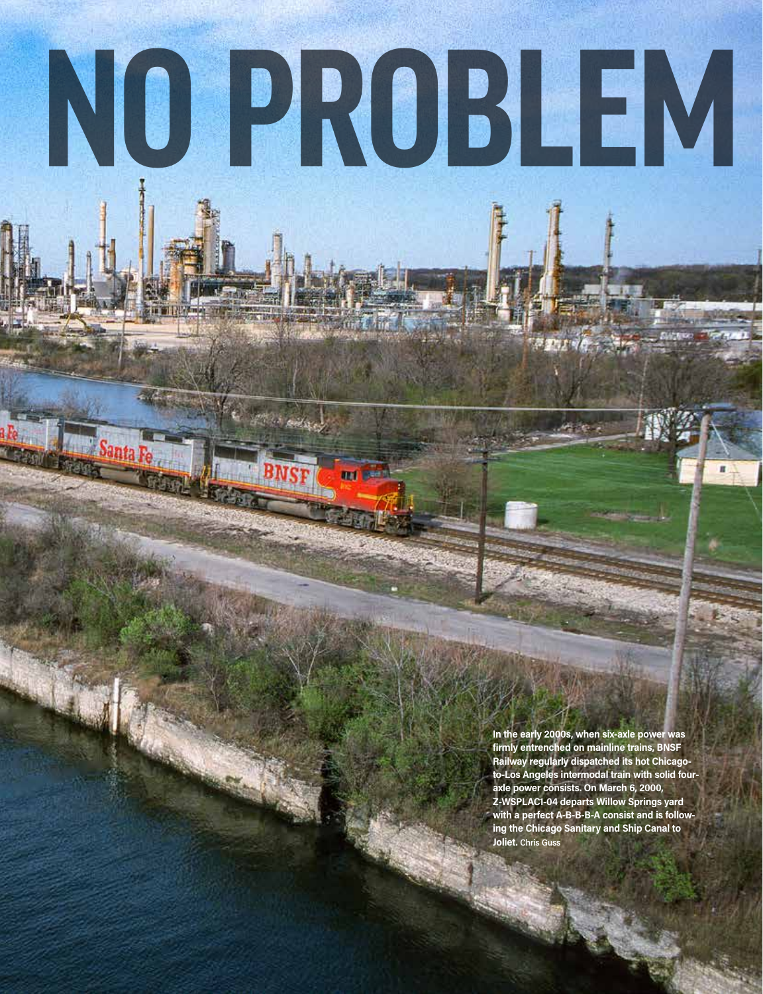### **NO PROBLEM**

**Contaged** 

**THEF** 

**In the early 2000s, when six-axle power was firmly entrenched on mainline trains, BNSF Railway regularly dispatched its hot Chicagoto-Los Angeles intermodal train with solid fouraxle power consists. On March 6, 2000, Z-WSPLAC1-04 departs Willow Springs yard with a perfect A-B-B-B-A consist and is following the Chicago Sanitary and Ship Canal to Joliet. Chris Guss**

 $77.14$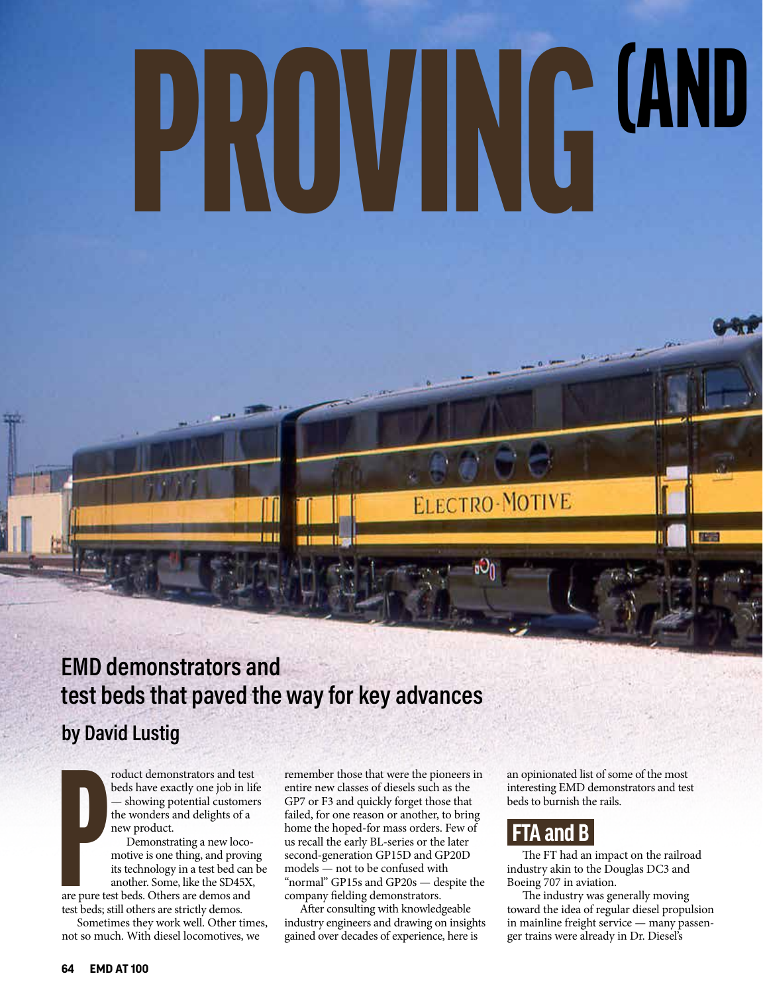## PROVING <sup>(AND</sup> (AND

### **EMD demonstrators and test beds that paved the way for key advances**

### **by David Lustig**

roduct demonstrators and test beds have exactly one job in life — showing potential customers the wonders and delights of a new product.

are pure te<br>are pure te<br>test beds; Demonstrating a new locomotive is one thing, and proving its technology in a test bed can be another. Some, like the SD45X, are pure test beds. Others are demos and test beds; still others are strictly demos.

Sometimes they work well. Other times, not so much. With diesel locomotives, we

remember those that were the pioneers in entire new classes of diesels such as the GP7 or F3 and quickly forget those that failed, for one reason or another, to bring home the hoped-for mass orders. Few of us recall the early BL-series or the later second-generation GP15D and GP20D models — not to be confused with "normal" GP15s and GP20s — despite the company fielding demonstrators.

After consulting with knowledgeable industry engineers and drawing on insights gained over decades of experience, here is

an opinionated list of some of the most interesting EMD demonstrators and test beds to burnish the rails.

### **FTA and B**

ELECTRO-MOTIVE

The FT had an impact on the railroad industry akin to the Douglas DC3 and Boeing 707 in aviation.

The industry was generally moving toward the idea of regular diesel propulsion in mainline freight service — many passenger trains were already in Dr. Diesel's